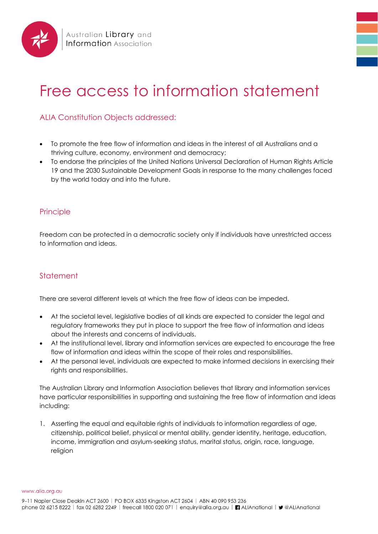

## Free access to information statement

## ALIA Constitution Objects addressed:

- To promote the free flow of information and ideas in the interest of all Australians and a thriving culture, economy, environment and democracy;
- To endorse the principles of the United Nations Universal Declaration of Human Rights Article 19 and the 2030 Sustainable Development Goals in response to the many challenges faced by the world today and into the future.

## **Principle**

Freedom can be protected in a democratic society only if individuals have unrestricted access to information and ideas.

## **Statement**

There are several different levels at which the free flow of ideas can be impeded.

- At the societal level, legislative bodies of all kinds are expected to consider the legal and regulatory frameworks they put in place to support the free flow of information and ideas about the interests and concerns of individuals.
- At the institutional level, library and information services are expected to encourage the free flow of information and ideas within the scope of their roles and responsibilities.
- At the personal level, individuals are expected to make informed decisions in exercising their rights and responsibilities.

The Australian Library and Information Association believes that library and information services have particular responsibilities in supporting and sustaining the free flow of information and ideas including:

1. Asserting the equal and equitable rights of individuals to information regardless of age, citizenship, political belief, physical or mental ability, gender identity, heritage, education, income, immigration and asylum-seeking status, marital status, origin, race, language, religion

www.alia.org.au